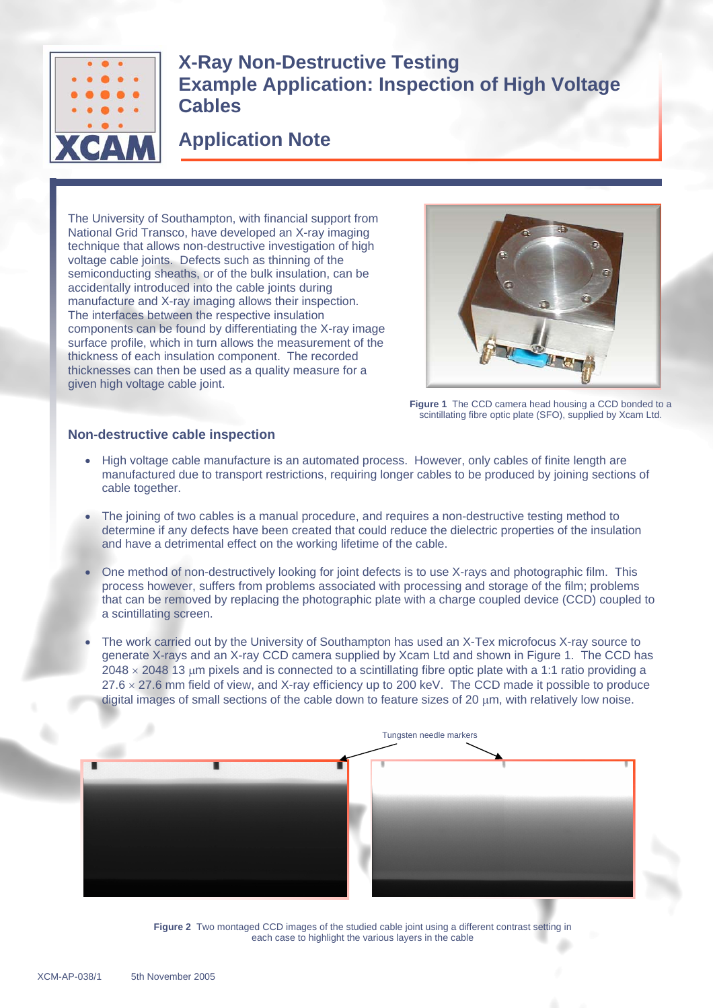

# **X-Ray Non-Destructive Testing Example Application: Inspection of High Voltage Cables**

## **Application Note**

The University of Southampton, with financial support from National Grid Transco, have developed an X-ray imaging technique that allows non-destructive investigation of high voltage cable joints. Defects such as thinning of the semiconducting sheaths, or of the bulk insulation, can be accidentally introduced into the cable joints during manufacture and X-ray imaging allows their inspection. The interfaces between the respective insulation components can be found by differentiating the X-ray image surface profile, which in turn allows the measurement of the thickness of each insulation component. The recorded thicknesses can then be used as a quality measure for a given high voltage cable joint.



**Figure 1** The CCD camera head housing a CCD bonded to a scintillating fibre optic plate (SFO), supplied by Xcam Ltd.

### **Non-destructive cable inspection**

- High voltage cable manufacture is an automated process. However, only cables of finite length are manufactured due to transport restrictions, requiring longer cables to be produced by joining sections of cable together.
- The joining of two cables is a manual procedure, and requires a non-destructive testing method to determine if any defects have been created that could reduce the dielectric properties of the insulation and have a detrimental effect on the working lifetime of the cable.
- One method of non-destructively looking for joint defects is to use X-rays and photographic film. This process however, suffers from problems associated with processing and storage of the film; problems that can be removed by replacing the photographic plate with a charge coupled device (CCD) coupled to a scintillating screen.
- The work carried out by the University of Southampton has used an X-Tex microfocus X-ray source to generate X-rays and an X-ray CCD camera supplied by Xcam Ltd and shown in Figure 1. The CCD has  $2048 \times 2048$  13 µm pixels and is connected to a scintillating fibre optic plate with a 1:1 ratio providing a  $27.6 \times 27.6$  mm field of view, and X-ray efficiency up to 200 keV. The CCD made it possible to produce digital images of small sections of the cable down to feature sizes of 20  $\mu$ m, with relatively low noise.



**Figure 2** Two montaged CCD images of the studied cable joint using a different contrast setting in each case to highlight the various layers in the cable